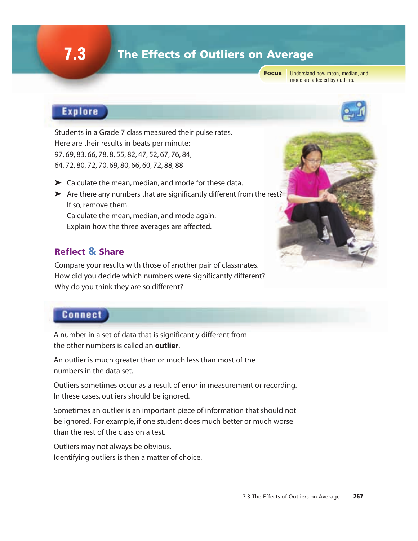## **7.3** The Effects of Outliers on Average

Focus

Understand how mean, median, and mode are affected by outliers.

## **Explore**

Students in a Grade 7 class measured their pulse rates. Here are their results in beats per minute: 97, 69, 83, 66, 78, 8, 55, 82, 47, 52, 67, 76, 84, 64, 72, 80, 72, 70, 69, 80, 66, 60, 72, 88, 88

- ➤ Calculate the mean, median, and mode for these data.
- ➤ Are there any numbers that are significantly different from the rest? If so, remove them. Calculate the mean, median, and mode again. Explain how the three averages are affected.

#### Reflect & Share

Compare your results with those of another pair of classmates. How did you decide which numbers were significantly different? Why do you think they are so different?

### **Connect**

A number in a set of data that is significantly different from the other numbers is called an **outlier**.

An outlier is much greater than or much less than most of the numbers in the data set.

Outliers sometimes occur as a result of error in measurement or recording. In these cases, outliers should be ignored.

Sometimes an outlier is an important piece of information that should not be ignored. For example, if one student does much better or much worse than the rest of the class on a test.

Outliers may not always be obvious. Identifying outliers is then a matter of choice.

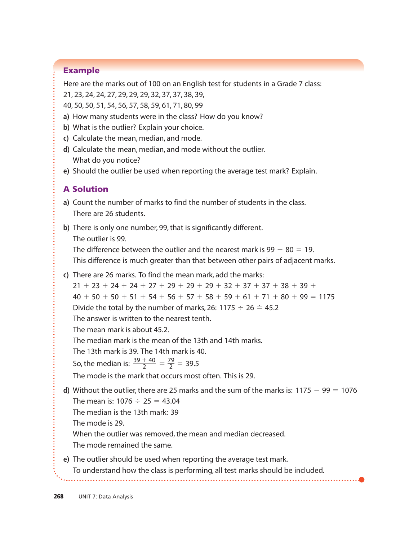#### Example

Here are the marks out of 100 on an English test for students in a Grade 7 class:

- 21, 23, 24, 24, 27, 29, 29, 29, 32, 37, 37, 38, 39,
- 40, 50, 50, 51, 54, 56, 57, 58, 59, 61, 71, 80, 99
- **a)** How many students were in the class? How do you know?
- **b)** What is the outlier? Explain your choice.
- **c)** Calculate the mean, median, and mode.
- **d)** Calculate the mean, median, and mode without the outlier. What do you notice?
- **e)** Should the outlier be used when reporting the average test mark? Explain.

#### A Solution

- **a)** Count the number of marks to find the number of students in the class. There are 26 students.
- **b)** There is only one number, 99, that is significantly different. The outlier is 99.

The difference between the outlier and the nearest mark is  $99 - 80 = 19$ . This difference is much greater than that between other pairs of adjacent marks.

- **c)** There are 26 marks. To find the mean mark, add the marks:  $21 + 23 + 24 + 24 + 27 + 29 + 29 + 29 + 32 + 37 + 37 + 38 + 39 +$  $40 + 50 + 50 + 51 + 54 + 56 + 57 + 58 + 59 + 61 + 71 + 80 + 99 = 1175$ Divide the total by the number of marks, 26: 1175  $\div$  26  $\div$  45.2 The answer is written to the nearest tenth. The mean mark is about 45.2. The median mark is the mean of the 13th and 14th marks. The 13th mark is 39. The 14th mark is 40. So, the median is:  $\frac{39+40}{2} = \frac{79}{2} = 39.5$ The mode is the mark that occurs most often. This is 29. **d)** Without the outlier, there are 25 marks and the sum of the marks is:  $1175 - 99 = 1076$ The mean is:  $1076 \div 25 = 43.04$ The median is the 13th mark: 39 The mode is 29. When the outlier was removed, the mean and median decreased. 2  $39 + 40$ 2
	- The mode remained the same.
- **e)** The outlier should be used when reporting the average test mark. To understand how the class is performing, all test marks should be included.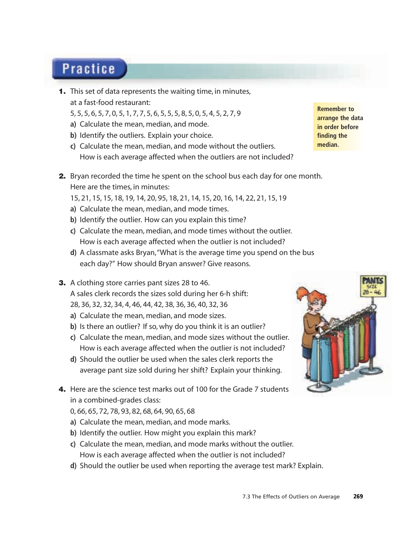# **Practice**

- 1. This set of data represents the waiting time, in minutes, at a fast-food restaurant:
	- 5, 5, 5, 6, 5, 7, 0, 5, 1, 7, 7, 5, 6, 5, 5, 5, 8, 5, 0, 5, 4, 5, 2, 7, 9
	- **a)** Calculate the mean, median, and mode.
	- **b)** Identify the outliers. Explain your choice.
	- **c)** Calculate the mean, median, and mode without the outliers. How is each average affected when the outliers are not included?
- 2. Bryan recorded the time he spent on the school bus each day for one month. Here are the times, in minutes:
	- 15, 21, 15, 15, 18, 19, 14, 20, 95, 18, 21, 14, 15, 20, 16, 14, 22, 21, 15, 19
	- **a)** Calculate the mean, median, and mode times.
	- **b)** Identify the outlier. How can you explain this time?
	- **c)** Calculate the mean, median, and mode times without the outlier. How is each average affected when the outlier is not included?
	- **d)** A classmate asks Bryan,"What is the average time you spend on the bus each day?" How should Bryan answer? Give reasons.
- **3.** A clothing store carries pant sizes 28 to 46. A sales clerk records the sizes sold during her 6-h shift: 28, 36, 32, 32, 34, 4, 46, 44, 42, 38, 36, 36, 40, 32, 36
	- **a)** Calculate the mean, median, and mode sizes.
	- **b)** Is there an outlier? If so, why do you think it is an outlier?
	- **c)** Calculate the mean, median, and mode sizes without the outlier. How is each average affected when the outlier is not included?
	- **d)** Should the outlier be used when the sales clerk reports the average pant size sold during her shift? Explain your thinking.
- 4. Here are the science test marks out of 100 for the Grade 7 students in a combined-grades class:
	- 0, 66, 65, 72, 78, 93, 82, 68, 64, 90, 65, 68
	- **a)** Calculate the mean, median, and mode marks.
	- **b)** Identify the outlier. How might you explain this mark?
	- **c)** Calculate the mean, median, and mode marks without the outlier. How is each average affected when the outlier is not included?
	- **d)** Should the outlier be used when reporting the average test mark? Explain.



**Remember to arrange the data in order before finding the median.**